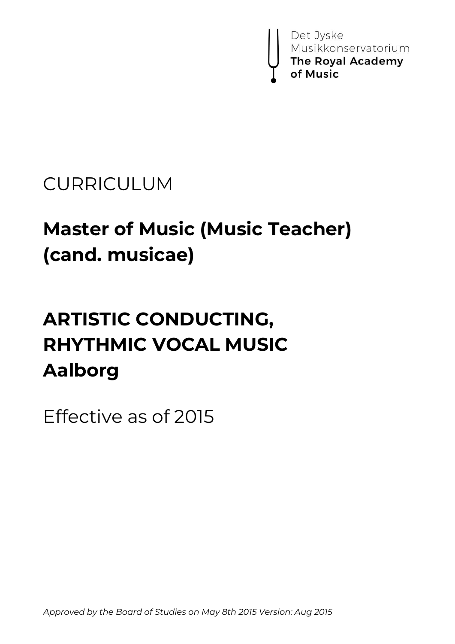

# CURRICULUM

# **Master of Music (Music Teacher) (cand. musicae)**

# **ARTISTIC CONDUCTING, RHYTHMIC VOCAL MUSIC Aalborg**

Effective as of 2015

*Approved by the Board of Studies on May 8th 2015 Version: Aug 2015*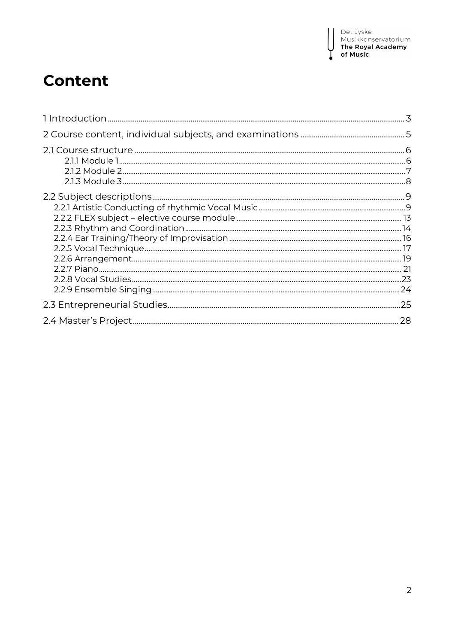I

# **Content**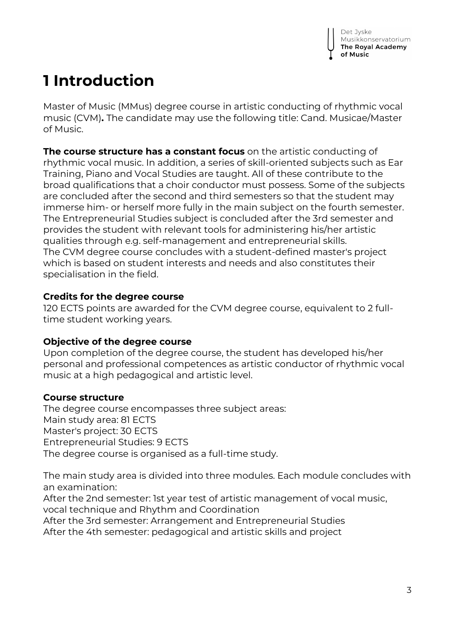# **1 Introduction**

Master of Music (MMus) degree course in artistic conducting of rhythmic vocal music (CVM)**.** The candidate may use the following title: Cand. Musicae/Master of Music.

**The course structure has a constant focus** on the artistic conducting of rhythmic vocal music. In addition, a series of skill-oriented subjects such as Ear Training, Piano and Vocal Studies are taught. All of these contribute to the broad qualifications that a choir conductor must possess. Some of the subjects are concluded after the second and third semesters so that the student may immerse him- or herself more fully in the main subject on the fourth semester. The Entrepreneurial Studies subject is concluded after the 3rd semester and provides the student with relevant tools for administering his/her artistic qualities through e.g. self-management and entrepreneurial skills. The CVM degree course concludes with a student-defined master's project which is based on student interests and needs and also constitutes their specialisation in the field.

## **Credits for the degree course**

120 ECTS points are awarded for the CVM degree course, equivalent to 2 fulltime student working years.

# **Objective of the degree course**

Upon completion of the degree course, the student has developed his/her personal and professional competences as artistic conductor of rhythmic vocal music at a high pedagogical and artistic level.

# **Course structure**

The degree course encompasses three subject areas: Main study area: 81 ECTS Master's project: 30 ECTS Entrepreneurial Studies: 9 ECTS The degree course is organised as a full-time study.

The main study area is divided into three modules. Each module concludes with an examination:

After the 2nd semester: 1st year test of artistic management of vocal music, vocal technique and Rhythm and Coordination

After the 3rd semester: Arrangement and Entrepreneurial Studies After the 4th semester: pedagogical and artistic skills and project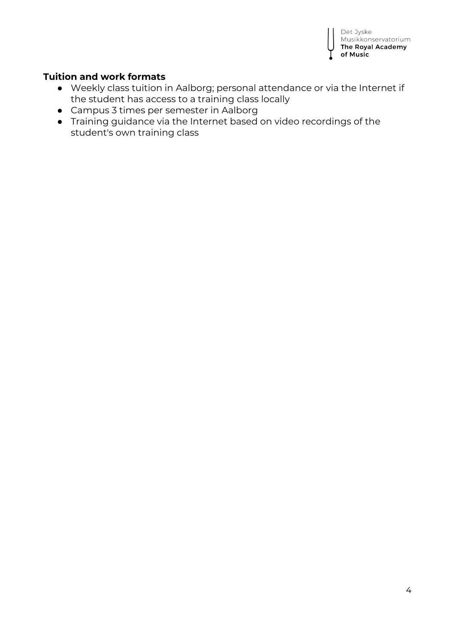

## **Tuition and work formats**

- Weekly class tuition in Aalborg; personal attendance or via the Internet if the student has access to a training class locally
- Campus 3 times per semester in Aalborg
- Training guidance via the Internet based on video recordings of the student's own training class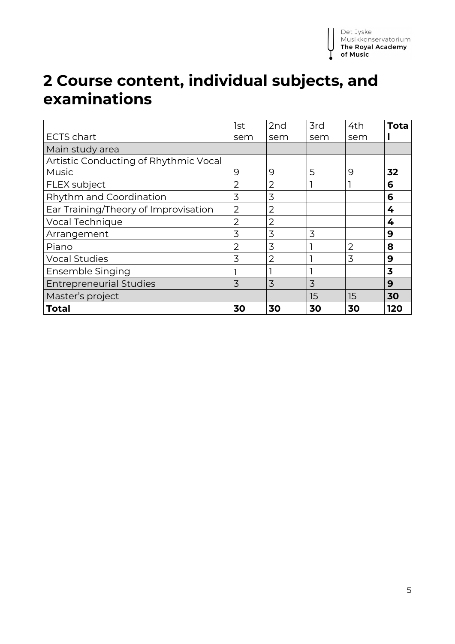# **2 Course content, individual subjects, and examinations**

|                                       | 1st            | 2nd            | 3rd | 4th | <b>Tota</b>             |
|---------------------------------------|----------------|----------------|-----|-----|-------------------------|
| <b>ECTS chart</b>                     | sem            | sem            | sem | sem |                         |
| Main study area                       |                |                |     |     |                         |
| Artistic Conducting of Rhythmic Vocal |                |                |     |     |                         |
| <b>Music</b>                          | 9              | 9              | 5   | 9   | 32                      |
| <b>FLEX</b> subject                   | 2              | $\overline{2}$ |     |     | 6                       |
| Rhythm and Coordination               | 3              | 3              |     |     | 6                       |
| Ear Training/Theory of Improvisation  | $\overline{2}$ | $\overline{2}$ |     |     | 4                       |
| Vocal Technique                       | 2              | $\overline{2}$ |     |     | 4                       |
| Arrangement                           | 3              | 3              | 3   |     | 9                       |
| Piano                                 | 2              | 3              |     | 2   | 8                       |
| <b>Vocal Studies</b>                  | 3              | $\overline{2}$ |     | 3   | 9                       |
| Ensemble Singing                      |                |                |     |     | $\overline{\mathbf{3}}$ |
| <b>Entrepreneurial Studies</b>        | 3              | 3              | 3   |     | 9                       |
| Master's project                      |                |                | 15  | 15  | 30                      |
| Total                                 | 30             | 30             | 30  | 30  | 120                     |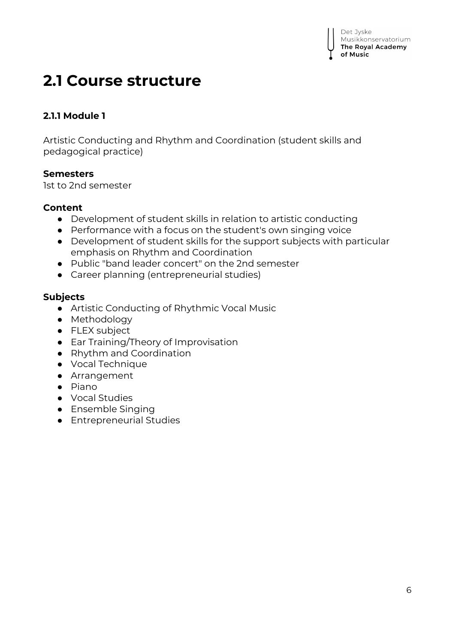

# **2.1 Course structure**

# **2.1.1 Module 1**

Artistic Conducting and Rhythm and Coordination (student skills and pedagogical practice)

### **Semesters**

1st to 2nd semester

### **Content**

- Development of student skills in relation to artistic conducting
- Performance with a focus on the student's own singing voice
- Development of student skills for the support subjects with particular emphasis on Rhythm and Coordination
- Public "band leader concert" on the 2nd semester
- Career planning (entrepreneurial studies)

#### **Subjects**

- Artistic Conducting of Rhythmic Vocal Music
- Methodology
- FLEX subject
- Ear Training/Theory of Improvisation
- Rhythm and Coordination
- Vocal Technique
- Arrangement
- Piano
- Vocal Studies
- Ensemble Singing
- Entrepreneurial Studies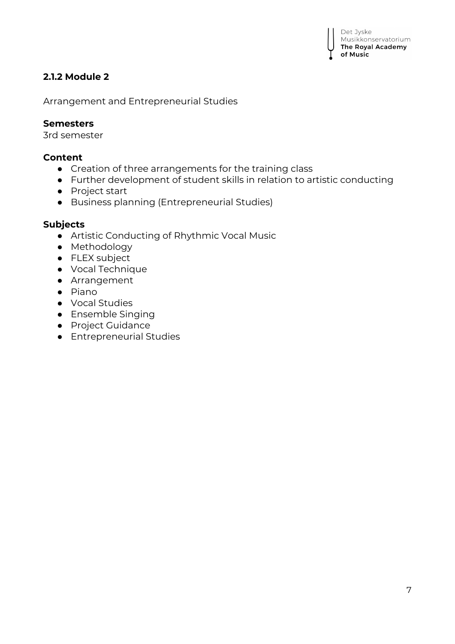# **2.1.2 Module 2**

Arrangement and Entrepreneurial Studies

#### **Semesters**

3rd semester

#### **Content**

- Creation of three arrangements for the training class
- Further development of student skills in relation to artistic conducting
- Project start
- Business planning (Entrepreneurial Studies)

#### **Subjects**

- Artistic Conducting of Rhythmic Vocal Music
- Methodology
- FLEX subject
- Vocal Technique
- Arrangement
- Piano
- Vocal Studies
- Ensemble Singing
- Project Guidance
- Entrepreneurial Studies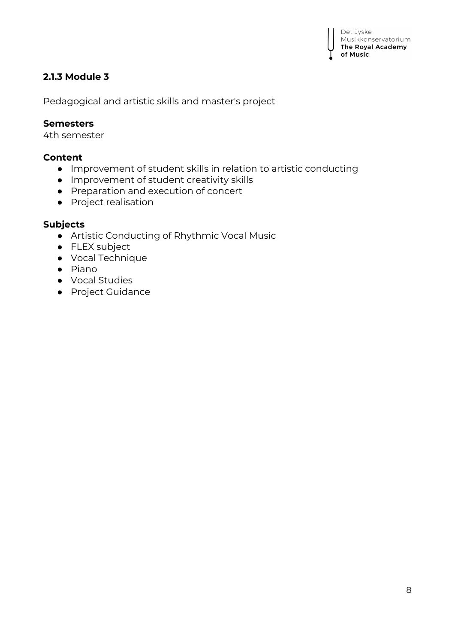# **2.1.3 Module 3**

Pedagogical and artistic skills and master's project

#### **Semesters**

4th semester

### **Content**

- Improvement of student skills in relation to artistic conducting
- Improvement of student creativity skills
- Preparation and execution of concert
- Project realisation

### **Subjects**

- Artistic Conducting of Rhythmic Vocal Music
- FLEX subject
- Vocal Technique
- Piano
- Vocal Studies
- Project Guidance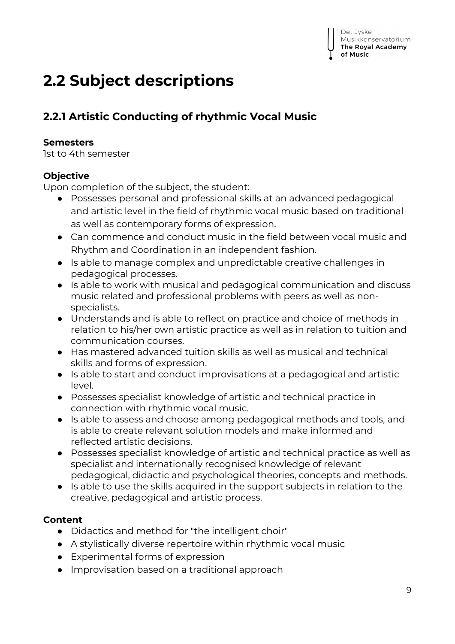# **2.2 Subject descriptions**

# **2.2.1 Artistic Conducting of rhythmic Vocal Music**

# **Semesters**

1st to 4th semester

# **Objective**

Upon completion of the subject, the student:

- Possesses personal and professional skills at an advanced pedagogical and artistic level in the field of rhythmic vocal music based on traditional as well as contemporary forms of expression.
- Can commence and conduct music in the field between vocal music and Rhythm and Coordination in an independent fashion.
- Is able to manage complex and unpredictable creative challenges in pedagogical processes.
- Is able to work with musical and pedagogical communication and discuss music related and professional problems with peers as well as nonspecialists.
- Understands and is able to reflect on practice and choice of methods in relation to his/her own artistic practice as well as in relation to tuition and communication courses.
- Has mastered advanced tuition skills as well as musical and technical skills and forms of expression.
- Is able to start and conduct improvisations at a pedagogical and artistic level.
- Possesses specialist knowledge of artistic and technical practice in connection with rhythmic vocal music.
- Is able to assess and choose among pedagogical methods and tools, and is able to create relevant solution models and make informed and reflected artistic decisions.
- Possesses specialist knowledge of artistic and technical practice as well as specialist and internationally recognised knowledge of relevant pedagogical, didactic and psychological theories, concepts and methods.
- Is able to use the skills acquired in the support subjects in relation to the creative, pedagogical and artistic process.

# **Content**

- Didactics and method for "the intelligent choir"
- A stylistically diverse repertoire within rhythmic vocal music
- Experimental forms of expression
- Improvisation based on a traditional approach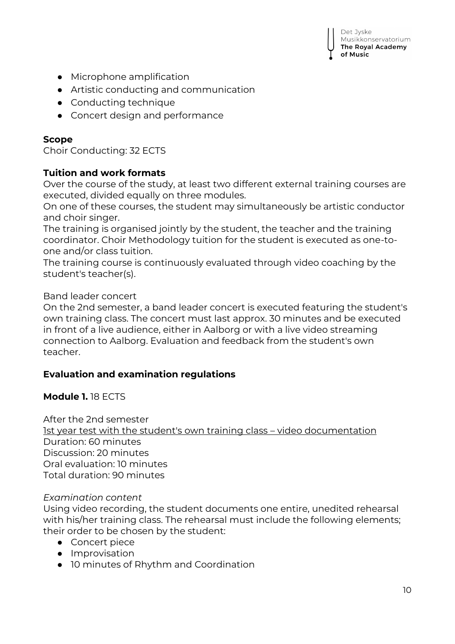

- Microphone amplification
- Artistic conducting and communication
- Conducting technique
- Concert design and performance

### **Scope**

Choir Conducting: 32 ECTS

### **Tuition and work formats**

Over the course of the study, at least two different external training courses are executed, divided equally on three modules.

On one of these courses, the student may simultaneously be artistic conductor and choir singer.

The training is organised jointly by the student, the teacher and the training coordinator. Choir Methodology tuition for the student is executed as one-toone and/or class tuition.

The training course is continuously evaluated through video coaching by the student's teacher(s).

#### Band leader concert

On the 2nd semester, a band leader concert is executed featuring the student's own training class. The concert must last approx. 30 minutes and be executed in front of a live audience, either in Aalborg or with a live video streaming connection to Aalborg. Evaluation and feedback from the student's own teacher.

### **Evaluation and examination regulations**

### **Module 1.** 18 ECTS

After the 2nd semester 1st year test with the student's own training class – video documentation Duration: 60 minutes Discussion: 20 minutes Oral evaluation: 10 minutes Total duration: 90 minutes

### *Examination content*

Using video recording, the student documents one entire, unedited rehearsal with his/her training class. The rehearsal must include the following elements; their order to be chosen by the student:

- Concert piece
- Improvisation
- 10 minutes of Rhythm and Coordination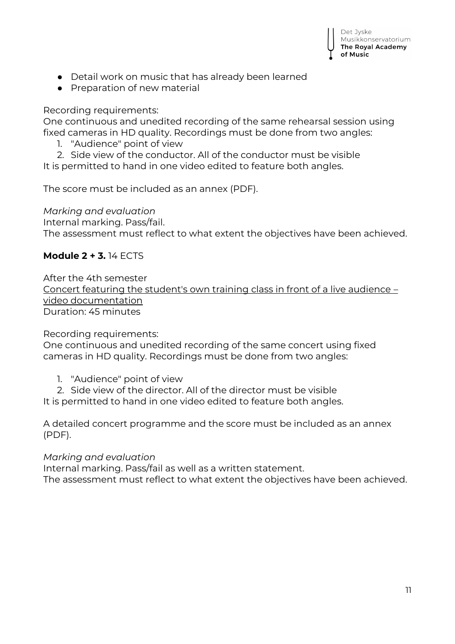

- Detail work on music that has already been learned
- Preparation of new material

### Recording requirements:

One continuous and unedited recording of the same rehearsal session using fixed cameras in HD quality. Recordings must be done from two angles:

- 1. "Audience" point of view
- 2. Side view of the conductor. All of the conductor must be visible

It is permitted to hand in one video edited to feature both angles.

The score must be included as an annex (PDF).

## *Marking and evaluation*

Internal marking. Pass/fail.

The assessment must reflect to what extent the objectives have been achieved.

# **Module 2 + 3.** 14 ECTS

After the 4th semester Concert featuring the student's own training class in front of a live audience – video documentation Duration: 45 minutes

Recording requirements:

One continuous and unedited recording of the same concert using fixed cameras in HD quality. Recordings must be done from two angles:

- 1. "Audience" point of view
- 2. Side view of the director. All of the director must be visible

It is permitted to hand in one video edited to feature both angles.

A detailed concert programme and the score must be included as an annex (PDF).

### *Marking and evaluation*

Internal marking. Pass/fail as well as a written statement.

The assessment must reflect to what extent the objectives have been achieved.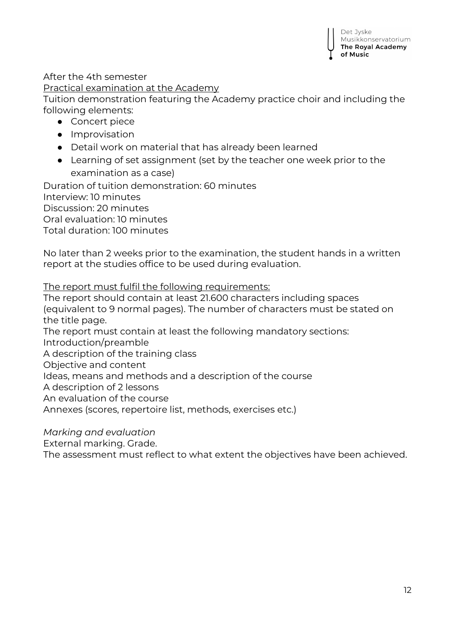After the 4th semester

Practical examination at the Academy

Tuition demonstration featuring the Academy practice choir and including the following elements:

- Concert piece
- Improvisation
- Detail work on material that has already been learned
- Learning of set assignment (set by the teacher one week prior to the examination as a case)

Duration of tuition demonstration: 60 minutes Interview: 10 minutes Discussion: 20 minutes Oral evaluation: 10 minutes Total duration: 100 minutes

No later than 2 weeks prior to the examination, the student hands in a written report at the studies office to be used during evaluation.

The report must fulfil the following requirements:

The report should contain at least 21.600 characters including spaces (equivalent to 9 normal pages). The number of characters must be stated on the title page. The report must contain at least the following mandatory sections: Introduction/preamble A description of the training class Objective and content Ideas, means and methods and a description of the course

A description of 2 lessons

An evaluation of the course

Annexes (scores, repertoire list, methods, exercises etc.)

*Marking and evaluation*

External marking. Grade.

The assessment must reflect to what extent the objectives have been achieved.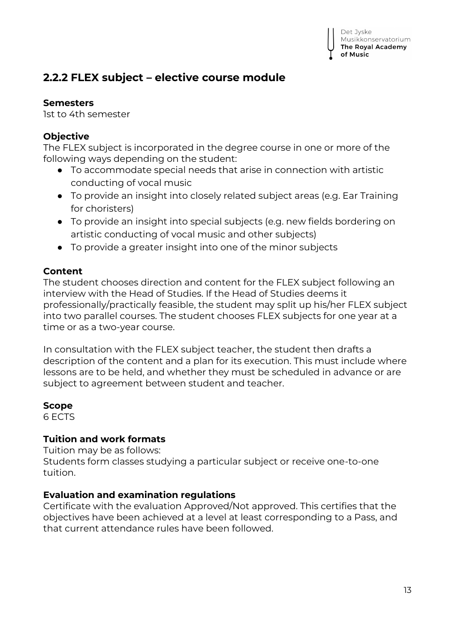# **2.2.2 FLEX subject – elective course module**

### **Semesters**

1st to 4th semester

# **Objective**

The FLEX subject is incorporated in the degree course in one or more of the following ways depending on the student:

- To accommodate special needs that arise in connection with artistic conducting of vocal music
- To provide an insight into closely related subject areas (e.g. Ear Training for choristers)
- To provide an insight into special subjects (e.g. new fields bordering on artistic conducting of vocal music and other subjects)
- To provide a greater insight into one of the minor subjects

## **Content**

The student chooses direction and content for the FLEX subject following an interview with the Head of Studies. If the Head of Studies deems it professionally/practically feasible, the student may split up his/her FLEX subject into two parallel courses. The student chooses FLEX subjects for one year at a time or as a two-year course.

In consultation with the FLEX subject teacher, the student then drafts a description of the content and a plan for its execution. This must include where lessons are to be held, and whether they must be scheduled in advance or are subject to agreement between student and teacher.

### **Scope**

6 ECTS

# **Tuition and work formats**

Tuition may be as follows:

Students form classes studying a particular subject or receive one-to-one tuition.

# **Evaluation and examination regulations**

Certificate with the evaluation Approved/Not approved. This certifies that the objectives have been achieved at a level at least corresponding to a Pass, and that current attendance rules have been followed.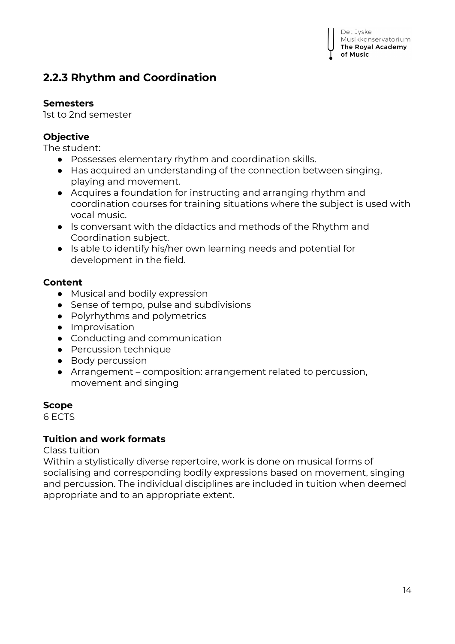# **2.2.3 Rhythm and Coordination**

#### **Semesters**

1st to 2nd semester

## **Objective**

The student:

- Possesses elementary rhythm and coordination skills.
- Has acquired an understanding of the connection between singing, playing and movement.
- Acquires a foundation for instructing and arranging rhythm and coordination courses for training situations where the subject is used with vocal music.
- Is conversant with the didactics and methods of the Rhythm and Coordination subject.
- Is able to identify his/her own learning needs and potential for development in the field.

#### **Content**

- Musical and bodily expression
- Sense of tempo, pulse and subdivisions
- Polyrhythms and polymetrics
- Improvisation
- Conducting and communication
- Percussion technique
- Body percussion
- Arrangement composition: arrangement related to percussion, movement and singing

#### **Scope**

6 ECTS

### **Tuition and work formats**

Class tuition

Within a stylistically diverse repertoire, work is done on musical forms of socialising and corresponding bodily expressions based on movement, singing and percussion. The individual disciplines are included in tuition when deemed appropriate and to an appropriate extent.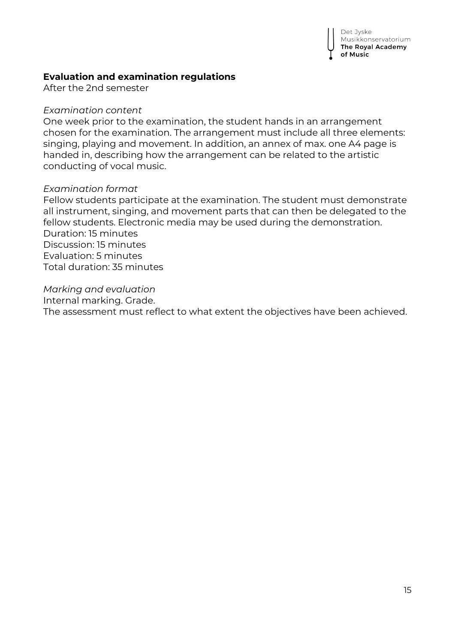

#### **Evaluation and examination regulations**

After the 2nd semester

#### *Examination content*

One week prior to the examination, the student hands in an arrangement chosen for the examination. The arrangement must include all three elements: singing, playing and movement. In addition, an annex of max. one A4 page is handed in, describing how the arrangement can be related to the artistic conducting of vocal music.

#### *Examination format*

Fellow students participate at the examination. The student must demonstrate all instrument, singing, and movement parts that can then be delegated to the fellow students. Electronic media may be used during the demonstration. Duration: 15 minutes Discussion: 15 minutes Evaluation: 5 minutes Total duration: 35 minutes

*Marking and evaluation*

Internal marking. Grade.

The assessment must reflect to what extent the objectives have been achieved.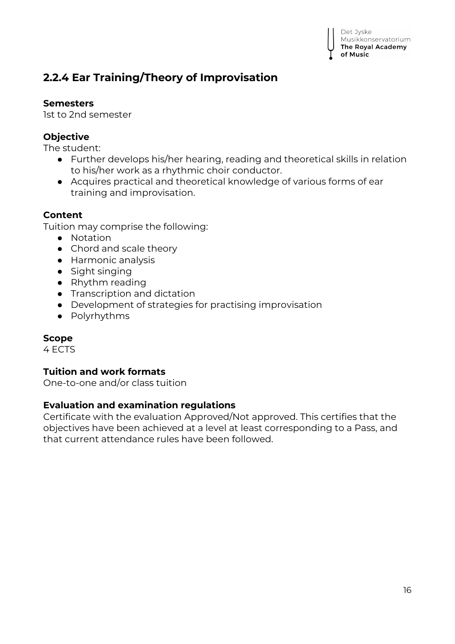

# **2.2.4 Ear Training/Theory of Improvisation**

### **Semesters**

1st to 2nd semester

# **Objective**

The student:

- Further develops his/her hearing, reading and theoretical skills in relation to his/her work as a rhythmic choir conductor.
- Acquires practical and theoretical knowledge of various forms of ear training and improvisation.

#### **Content**

Tuition may comprise the following:

- Notation
- Chord and scale theory
- Harmonic analysis
- Sight singing
- Rhythm reading
- Transcription and dictation
- Development of strategies for practising improvisation
- Polyrhythms

#### **Scope**

4 ECTS

### **Tuition and work formats**

One-to-one and/or class tuition

#### **Evaluation and examination regulations**

Certificate with the evaluation Approved/Not approved. This certifies that the objectives have been achieved at a level at least corresponding to a Pass, and that current attendance rules have been followed.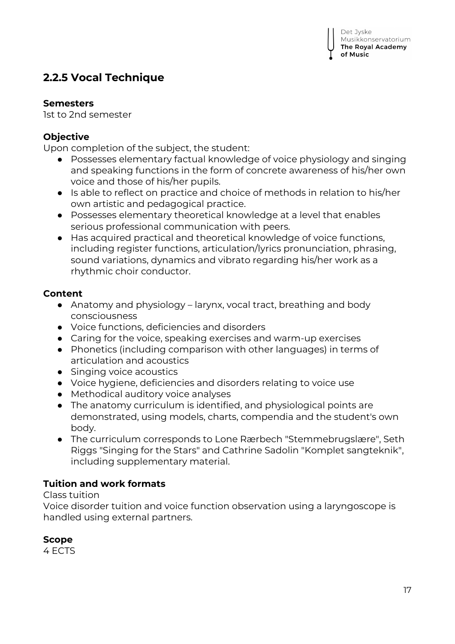# **2.2.5 Vocal Technique**

### **Semesters**

1st to 2nd semester

# **Objective**

Upon completion of the subject, the student:

- Possesses elementary factual knowledge of voice physiology and singing and speaking functions in the form of concrete awareness of his/her own voice and those of his/her pupils.
- Is able to reflect on practice and choice of methods in relation to his/her own artistic and pedagogical practice.
- Possesses elementary theoretical knowledge at a level that enables serious professional communication with peers.
- Has acquired practical and theoretical knowledge of voice functions, including register functions, articulation/lyrics pronunciation, phrasing, sound variations, dynamics and vibrato regarding his/her work as a rhythmic choir conductor.

## **Content**

- Anatomy and physiology larynx, vocal tract, breathing and body consciousness
- Voice functions, deficiencies and disorders
- Caring for the voice, speaking exercises and warm-up exercises
- Phonetics (including comparison with other languages) in terms of articulation and acoustics
- Singing voice acoustics
- Voice hygiene, deficiencies and disorders relating to voice use
- Methodical auditory voice analyses
- The anatomy curriculum is identified, and physiological points are demonstrated, using models, charts, compendia and the student's own body.
- The curriculum corresponds to Lone Rærbech "Stemmebrugslære", Seth Riggs "Singing for the Stars" and Cathrine Sadolin "Komplet sangteknik", including supplementary material.

# **Tuition and work formats**

### Class tuition

Voice disorder tuition and voice function observation using a laryngoscope is handled using external partners.

# **Scope**

4 ECTS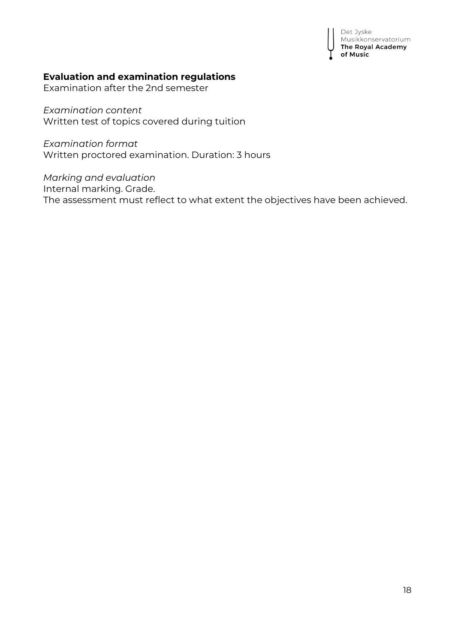Det Jyske **Musikkonservatorium**<br>The Royal Academy of Music

#### **Evaluation and examination regulations**

Examination after the 2nd semester

*Examination content* Written test of topics covered during tuition

*Examination format* Written proctored examination. Duration: 3 hours

*Marking and evaluation* Internal marking. Grade. The assessment must reflect to what extent the objectives have been achieved.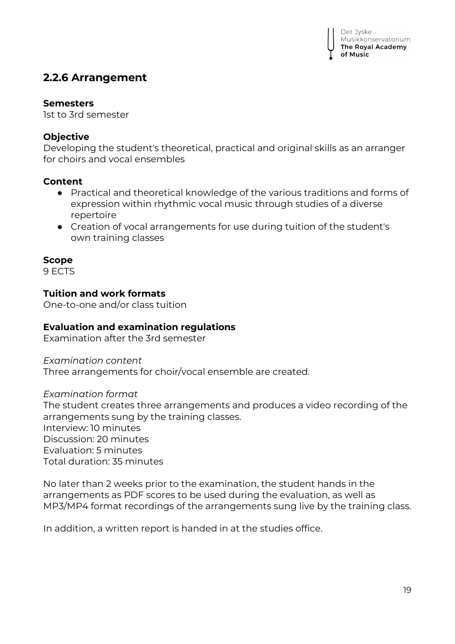# **2.2.6 Arrangement**

#### **Semesters**

1st to 3rd semester

## **Objective**

Developing the student's theoretical, practical and original skills as an arranger for choirs and vocal ensembles

## **Content**

- Practical and theoretical knowledge of the various traditions and forms of expression within rhythmic vocal music through studies of a diverse repertoire
- Creation of vocal arrangements for use during tuition of the student's own training classes

# **Scope**

9 ECTS

### **Tuition and work formats**

One-to-one and/or class tuition

### **Evaluation and examination regulations**

Examination after the 3rd semester

*Examination content* Three arrangements for choir/vocal ensemble are created.

### *Examination format*

The student creates three arrangements and produces a video recording of the arrangements sung by the training classes. Interview: 10 minutes Discussion: 20 minutes Evaluation: 5 minutes Total duration: 35 minutes

No later than 2 weeks prior to the examination, the student hands in the arrangements as PDF scores to be used during the evaluation, as well as MP3/MP4 format recordings of the arrangements sung live by the training class.

In addition, a written report is handed in at the studies office.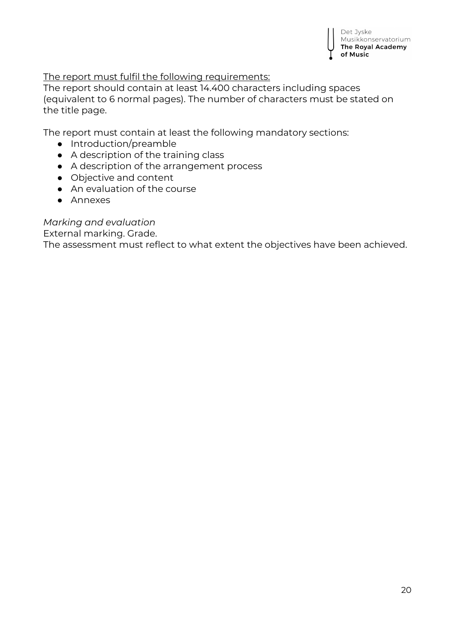The report must fulfil the following requirements:

The report should contain at least 14.400 characters including spaces (equivalent to 6 normal pages). The number of characters must be stated on the title page.

The report must contain at least the following mandatory sections:

- Introduction/preamble
- A description of the training class
- A description of the arrangement process
- Objective and content
- An evaluation of the course
- Annexes

## *Marking and evaluation*

External marking. Grade.

The assessment must reflect to what extent the objectives have been achieved.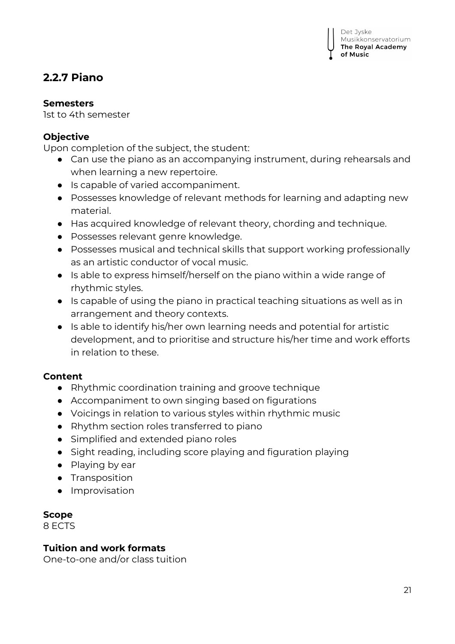# **2.2.7 Piano**

### **Semesters**

1st to 4th semester

## **Objective**

Upon completion of the subject, the student:

- Can use the piano as an accompanying instrument, during rehearsals and when learning a new repertoire.
- Is capable of varied accompaniment.
- Possesses knowledge of relevant methods for learning and adapting new material.
- Has acquired knowledge of relevant theory, chording and technique.
- Possesses relevant genre knowledge.
- Possesses musical and technical skills that support working professionally as an artistic conductor of vocal music.
- Is able to express himself/herself on the piano within a wide range of rhythmic styles.
- Is capable of using the piano in practical teaching situations as well as in arrangement and theory contexts.
- Is able to identify his/her own learning needs and potential for artistic development, and to prioritise and structure his/her time and work efforts in relation to these.

### **Content**

- Rhythmic coordination training and groove technique
- Accompaniment to own singing based on figurations
- Voicings in relation to various styles within rhythmic music
- Rhythm section roles transferred to piano
- Simplified and extended piano roles
- Sight reading, including score playing and figuration playing
- Playing by ear
- Transposition
- Improvisation

# **Scope**

8 ECTS

### **Tuition and work formats**

One-to-one and/or class tuition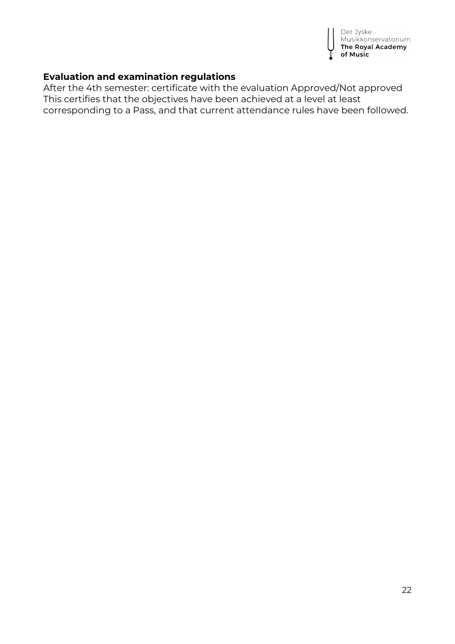

### **Evaluation and examination regulations**

After the 4th semester: certificate with the evaluation Approved/Not approved This certifies that the objectives have been achieved at a level at least corresponding to a Pass, and that current attendance rules have been followed.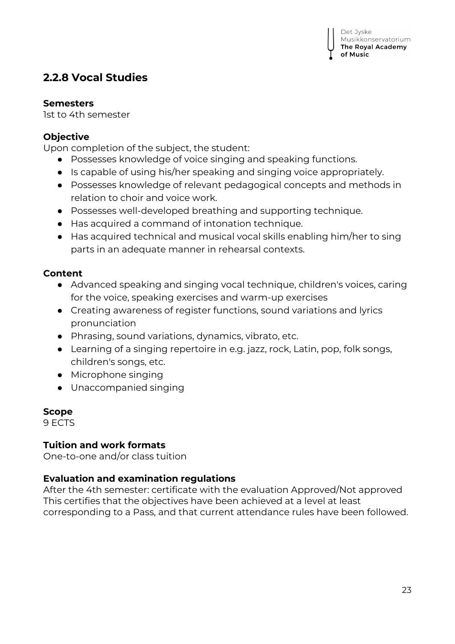# **2.2.8 Vocal Studies**

### **Semesters**

1st to 4th semester

# **Objective**

Upon completion of the subject, the student:

- Possesses knowledge of voice singing and speaking functions.
- Is capable of using his/her speaking and singing voice appropriately.
- Possesses knowledge of relevant pedagogical concepts and methods in relation to choir and voice work.
- Possesses well-developed breathing and supporting technique.
- Has acquired a command of intonation technique.
- Has acquired technical and musical vocal skills enabling him/her to sing parts in an adequate manner in rehearsal contexts.

# **Content**

- Advanced speaking and singing vocal technique, children's voices, caring for the voice, speaking exercises and warm-up exercises
- Creating awareness of register functions, sound variations and lyrics pronunciation
- Phrasing, sound variations, dynamics, vibrato, etc.
- Learning of a singing repertoire in e.g. jazz, rock, Latin, pop, folk songs, children's songs, etc.
- Microphone singing
- Unaccompanied singing

# **Scope**

9 ECTS

# **Tuition and work formats**

One-to-one and/or class tuition

# **Evaluation and examination regulations**

After the 4th semester: certificate with the evaluation Approved/Not approved This certifies that the objectives have been achieved at a level at least corresponding to a Pass, and that current attendance rules have been followed.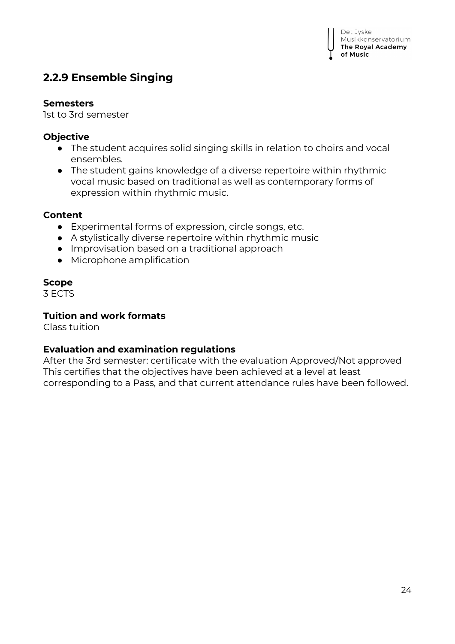# **2.2.9 Ensemble Singing**

#### **Semesters**

1st to 3rd semester

## **Objective**

- The student acquires solid singing skills in relation to choirs and vocal ensembles.
- The student gains knowledge of a diverse repertoire within rhythmic vocal music based on traditional as well as contemporary forms of expression within rhythmic music.

## **Content**

- Experimental forms of expression, circle songs, etc.
- A stylistically diverse repertoire within rhythmic music
- Improvisation based on a traditional approach
- Microphone amplification

## **Scope**

3 ECTS

## **Tuition and work formats**

Class tuition

# **Evaluation and examination regulations**

After the 3rd semester: certificate with the evaluation Approved/Not approved This certifies that the objectives have been achieved at a level at least corresponding to a Pass, and that current attendance rules have been followed.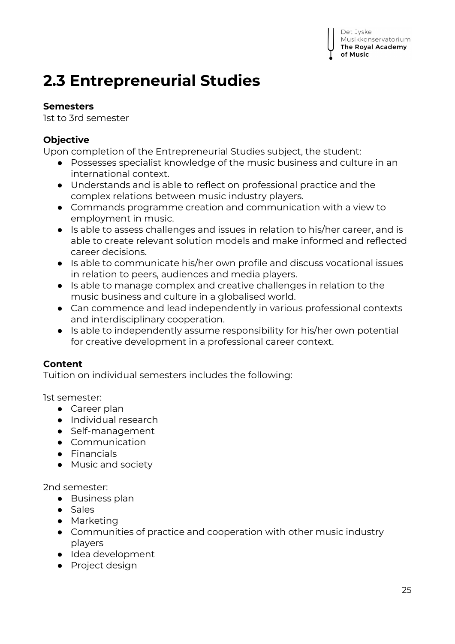#### Det Jyske Musikkonservatorium The Royal Academy of Music

# **2.3 Entrepreneurial Studies**

# **Semesters**

1st to 3rd semester

# **Objective**

Upon completion of the Entrepreneurial Studies subject, the student:

- Possesses specialist knowledge of the music business and culture in an international context.
- Understands and is able to reflect on professional practice and the complex relations between music industry players.
- Commands programme creation and communication with a view to employment in music.
- Is able to assess challenges and issues in relation to his/her career, and is able to create relevant solution models and make informed and reflected career decisions.
- Is able to communicate his/her own profile and discuss vocational issues in relation to peers, audiences and media players.
- Is able to manage complex and creative challenges in relation to the music business and culture in a globalised world.
- Can commence and lead independently in various professional contexts and interdisciplinary cooperation.
- Is able to independently assume responsibility for his/her own potential for creative development in a professional career context.

# **Content**

Tuition on individual semesters includes the following:

1st semester:

- Career plan
- Individual research
- Self-management
- Communication
- Financials
- Music and society

2nd semester:

- Business plan
- Sales
- Marketing
- Communities of practice and cooperation with other music industry players
- Idea development
- Project design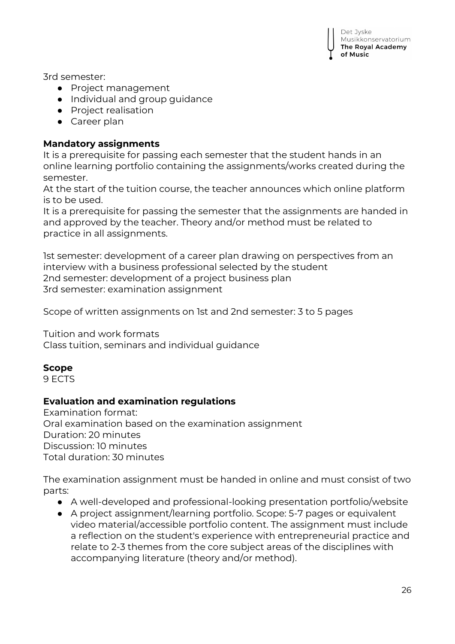

3rd semester:

- Project management
- Individual and group guidance
- Project realisation
- Career plan

#### **Mandatory assignments**

It is a prerequisite for passing each semester that the student hands in an online learning portfolio containing the assignments/works created during the semester.

At the start of the tuition course, the teacher announces which online platform is to be used.

It is a prerequisite for passing the semester that the assignments are handed in and approved by the teacher. Theory and/or method must be related to practice in all assignments.

1st semester: development of a career plan drawing on perspectives from an interview with a business professional selected by the student 2nd semester: development of a project business plan 3rd semester: examination assignment

Scope of written assignments on 1st and 2nd semester: 3 to 5 pages

Tuition and work formats

Class tuition, seminars and individual guidance

### **Scope**

9 ECTS

#### **Evaluation and examination regulations**

Examination format: Oral examination based on the examination assignment Duration: 20 minutes Discussion: 10 minutes Total duration: 30 minutes

The examination assignment must be handed in online and must consist of two parts:

- A well-developed and professional-looking presentation portfolio/website
- A project assignment/learning portfolio. Scope: 5-7 pages or equivalent video material/accessible portfolio content. The assignment must include a reflection on the student's experience with entrepreneurial practice and relate to 2-3 themes from the core subject areas of the disciplines with accompanying literature (theory and/or method).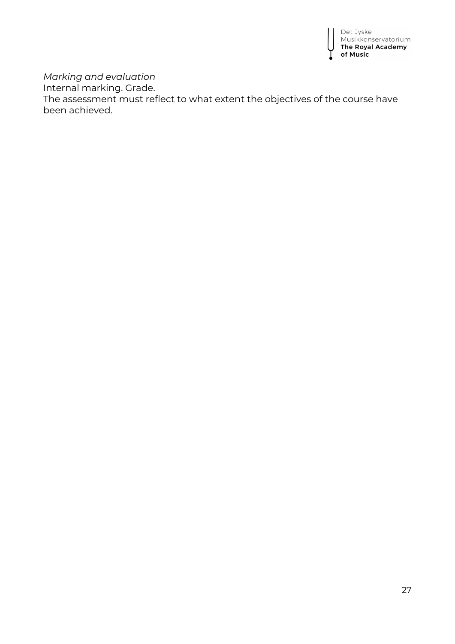

*Marking and evaluation*

Internal marking. Grade.

The assessment must reflect to what extent the objectives of the course have been achieved.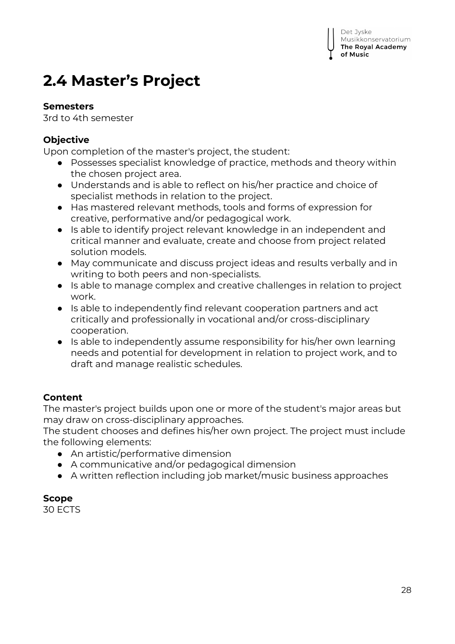# **2.4 Master's Project**

# **Semesters**

3rd to 4th semester

# **Objective**

Upon completion of the master's project, the student:

- Possesses specialist knowledge of practice, methods and theory within the chosen project area.
- Understands and is able to reflect on his/her practice and choice of specialist methods in relation to the project.
- Has mastered relevant methods, tools and forms of expression for creative, performative and/or pedagogical work.
- Is able to identify project relevant knowledge in an independent and critical manner and evaluate, create and choose from project related solution models.
- May communicate and discuss project ideas and results verbally and in writing to both peers and non-specialists.
- Is able to manage complex and creative challenges in relation to project work.
- Is able to independently find relevant cooperation partners and act critically and professionally in vocational and/or cross-disciplinary cooperation.
- Is able to independently assume responsibility for his/her own learning needs and potential for development in relation to project work, and to draft and manage realistic schedules.

# **Content**

The master's project builds upon one or more of the student's major areas but may draw on cross-disciplinary approaches.

The student chooses and defines his/her own project. The project must include the following elements:

- An artistic/performative dimension
- A communicative and/or pedagogical dimension
- A written reflection including job market/music business approaches

# **Scope**

30 ECTS